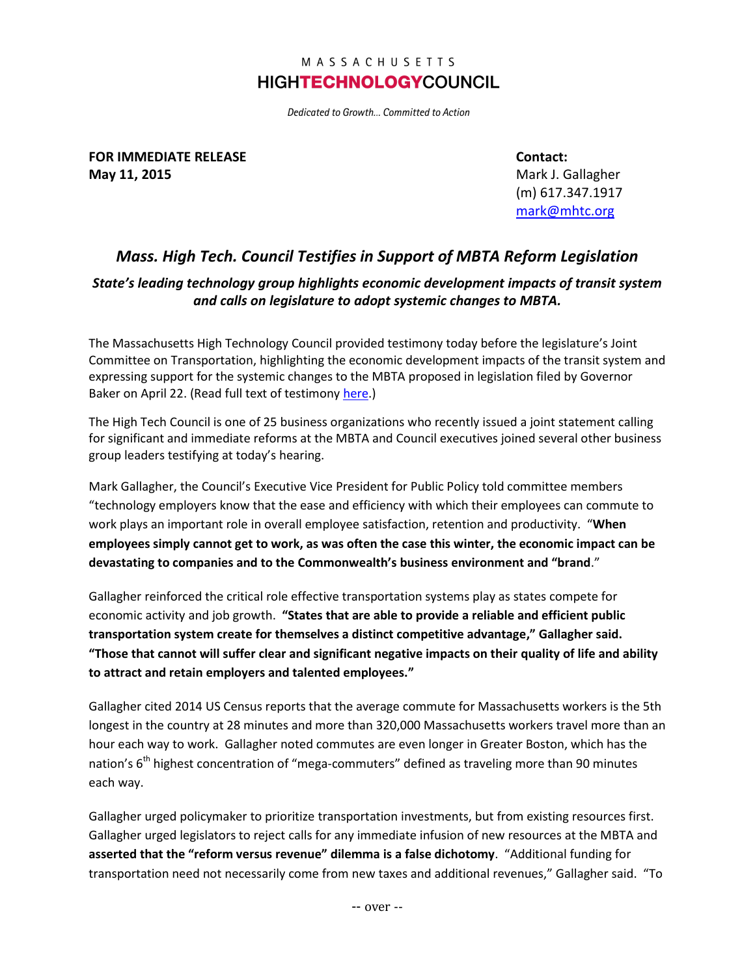## MASSACHUSETTS **HIGHTECHNOLOGYCOUNCIL**

Dedicated to Growth... Committed to Action

**FOR IMMEDIATE RELEASE May 11, 2015**

**Contact:** Mark J. Gallagher (m) 617.347.1917 [mark@mhtc.org](mailto:chris@mhtc.org)

## *Mass. High Tech. Council Testifies in Support of MBTA Reform Legislation*

## *State's leading technology group highlights economic development impacts of transit system and calls on legislature to adopt systemic changes to MBTA.*

The Massachusetts High Technology Council provided testimony today before the legislature's Joint Committee on Transportation, highlighting the economic development impacts of the transit system and expressing support for the systemic changes to the MBTA proposed in legislation filed by Governor Baker on April 22. (Read full text of testimony [here.](http://www.mhtc.org/wp-content/uploads/2015/05/MHTC_Testimony_MBTA_Reform_May112015_FINAL.pdf))

The High Tech Council is one of 25 business organizations who recently issued a joint statement calling for significant and immediate reforms at the MBTA and Council executives joined several other business group leaders testifying at today's hearing.

Mark Gallagher, the Council's Executive Vice President for Public Policy told committee members "technology employers know that the ease and efficiency with which their employees can commute to work plays an important role in overall employee satisfaction, retention and productivity. "**When employees simply cannot get to work, as was often the case this winter, the economic impact can be devastating to companies and to the Commonwealth's business environment and "brand**."

Gallagher reinforced the critical role effective transportation systems play as states compete for economic activity and job growth. **"States that are able to provide a reliable and efficient public transportation system create for themselves a distinct competitive advantage," Gallagher said. "Those that cannot will suffer clear and significant negative impacts on their quality of life and ability to attract and retain employers and talented employees."**

Gallagher cited 2014 US Census reports that the average commute for Massachusetts workers is the 5th longest in the country at 28 minutes and more than 320,000 Massachusetts workers travel more than an hour each way to work. Gallagher noted commutes are even longer in Greater Boston, which has the nation's 6<sup>th</sup> highest concentration of "mega-commuters" defined as traveling more than 90 minutes each way.

Gallagher urged policymaker to prioritize transportation investments, but from existing resources first. Gallagher urged legislators to reject calls for any immediate infusion of new resources at the MBTA and **asserted that the "reform versus revenue" dilemma is a false dichotomy**. "Additional funding for transportation need not necessarily come from new taxes and additional revenues," Gallagher said. "To